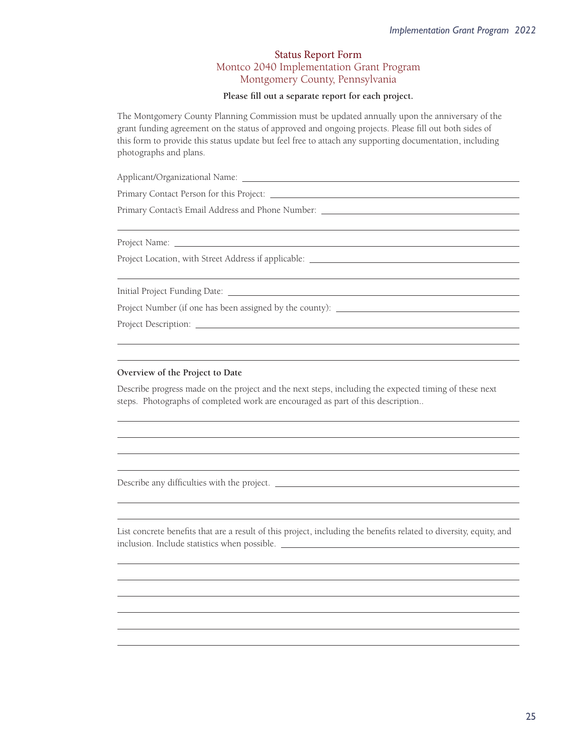## Status Report Form Montco 2040 Implementation Grant Program Montgomery County, Pennsylvania

## Please fill out a separate report for each project.

The Montgomery County Planning Commission must be updated annually upon the anniversary of the grant funding agreement on the status of approved and ongoing projects. Please fill out both sides of this form to provide this status update but feel free to attach any supporting documentation, including photographs and plans.

O8½º ²u8Î8½8»8bU»

Primary Contact Person for this Project:

Primary Contact's Email Address and Phone Number: \_\_\_\_\_\_\_\_\_\_\_\_\_\_\_\_\_\_\_\_\_\_\_\_\_\_\_\_\_\_\_

Project Name:

 $\overline{a}$ 

 $\overline{a}$ 

 $\overline{a}$ 

 $\overline{a}$ 

Project Location, with Street Address if applicable:

½8»(²bO½»ÂYu»8½bU»

Project Number (if one has been assigned by the county): \_\_\_\_\_\_\_\_\_\_\_\_\_\_\_\_\_\_\_\_\_\_\_\_

Project Description:

## **Overview of the Project to Date**

Describe progress made on the project and the next steps, including the expected timing of these next steps. Photographs of completed work are encouraged as part of this description..

Describe any difficulties with the project.

List concrete benefits that are a result of this project, including the benefits related to diversity, equity, and inclusion. Include statistics when possible.